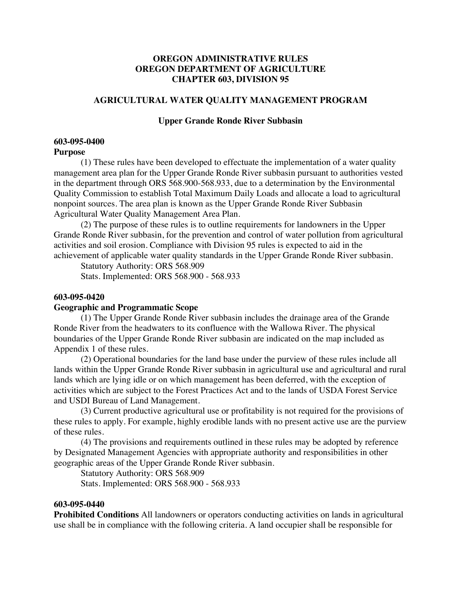# **OREGON ADMINISTRATIVE RULES OREGON DEPARTMENT OF AGRICULTURE CHAPTER 603, DIVISION 95**

## **AGRICULTURAL WATER QUALITY MANAGEMENT PROGRAM**

### **Upper Grande Ronde River Subbasin**

#### **603-095-0400 Purpose**

(1) These rules have been developed to effectuate the implementation of a water quality management area plan for the Upper Grande Ronde River subbasin pursuant to authorities vested in the department through ORS 568.900-568.933, due to a determination by the Environmental Quality Commission to establish Total Maximum Daily Loads and allocate a load to agricultural nonpoint sources. The area plan is known as the Upper Grande Ronde River Subbasin Agricultural Water Quality Management Area Plan.

(2) The purpose of these rules is to outline requirements for landowners in the Upper Grande Ronde River subbasin, for the prevention and control of water pollution from agricultural activities and soil erosion. Compliance with Division 95 rules is expected to aid in the achievement of applicable water quality standards in the Upper Grande Ronde River subbasin.

Statutory Authority: ORS 568.909

Stats. Implemented: ORS 568.900 - 568.933

## **603-095-0420**

### **Geographic and Programmatic Scope**

(1) The Upper Grande Ronde River subbasin includes the drainage area of the Grande Ronde River from the headwaters to its confluence with the Wallowa River. The physical boundaries of the Upper Grande Ronde River subbasin are indicated on the map included as Appendix 1 of these rules.

(2) Operational boundaries for the land base under the purview of these rules include all lands within the Upper Grande Ronde River subbasin in agricultural use and agricultural and rural lands which are lying idle or on which management has been deferred, with the exception of activities which are subject to the Forest Practices Act and to the lands of USDA Forest Service and USDI Bureau of Land Management.

(3) Current productive agricultural use or profitability is not required for the provisions of these rules to apply. For example, highly erodible lands with no present active use are the purview of these rules.

(4) The provisions and requirements outlined in these rules may be adopted by reference by Designated Management Agencies with appropriate authority and responsibilities in other geographic areas of the Upper Grande Ronde River subbasin.

Statutory Authority: ORS 568.909

Stats. Implemented: ORS 568.900 - 568.933

#### **603-095-0440**

**Prohibited Conditions** All landowners or operators conducting activities on lands in agricultural use shall be in compliance with the following criteria. A land occupier shall be responsible for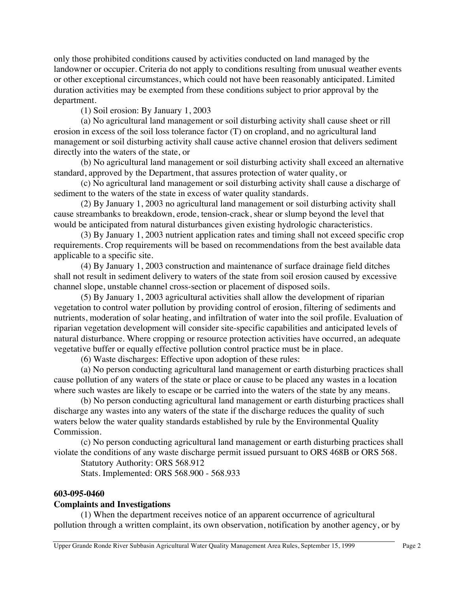only those prohibited conditions caused by activities conducted on land managed by the landowner or occupier. Criteria do not apply to conditions resulting from unusual weather events or other exceptional circumstances, which could not have been reasonably anticipated. Limited duration activities may be exempted from these conditions subject to prior approval by the department.

(1) Soil erosion: By January 1, 2003

(a) No agricultural land management or soil disturbing activity shall cause sheet or rill erosion in excess of the soil loss tolerance factor (T) on cropland, and no agricultural land management or soil disturbing activity shall cause active channel erosion that delivers sediment directly into the waters of the state, or

(b) No agricultural land management or soil disturbing activity shall exceed an alternative standard, approved by the Department, that assures protection of water quality, or

(c) No agricultural land management or soil disturbing activity shall cause a discharge of sediment to the waters of the state in excess of water quality standards.

(2) By January 1, 2003 no agricultural land management or soil disturbing activity shall cause streambanks to breakdown, erode, tension-crack, shear or slump beyond the level that would be anticipated from natural disturbances given existing hydrologic characteristics.

(3) By January 1, 2003 nutrient application rates and timing shall not exceed specific crop requirements. Crop requirements will be based on recommendations from the best available data applicable to a specific site.

(4) By January 1, 2003 construction and maintenance of surface drainage field ditches shall not result in sediment delivery to waters of the state from soil erosion caused by excessive channel slope, unstable channel cross-section or placement of disposed soils.

(5) By January 1, 2003 agricultural activities shall allow the development of riparian vegetation to control water pollution by providing control of erosion, filtering of sediments and nutrients, moderation of solar heating, and infiltration of water into the soil profile. Evaluation of riparian vegetation development will consider site-specific capabilities and anticipated levels of natural disturbance. Where cropping or resource protection activities have occurred, an adequate vegetative buffer or equally effective pollution control practice must be in place.

(6) Waste discharges: Effective upon adoption of these rules:

(a) No person conducting agricultural land management or earth disturbing practices shall cause pollution of any waters of the state or place or cause to be placed any wastes in a location where such wastes are likely to escape or be carried into the waters of the state by any means.

(b) No person conducting agricultural land management or earth disturbing practices shall discharge any wastes into any waters of the state if the discharge reduces the quality of such waters below the water quality standards established by rule by the Environmental Quality Commission.

(c) No person conducting agricultural land management or earth disturbing practices shall violate the conditions of any waste discharge permit issued pursuant to ORS 468B or ORS 568.

Statutory Authority: ORS 568.912

Stats. Implemented: ORS 568.900 - 568.933

# **603-095-0460**

# **Complaints and Investigations**

(1) When the department receives notice of an apparent occurrence of agricultural pollution through a written complaint, its own observation, notification by another agency, or by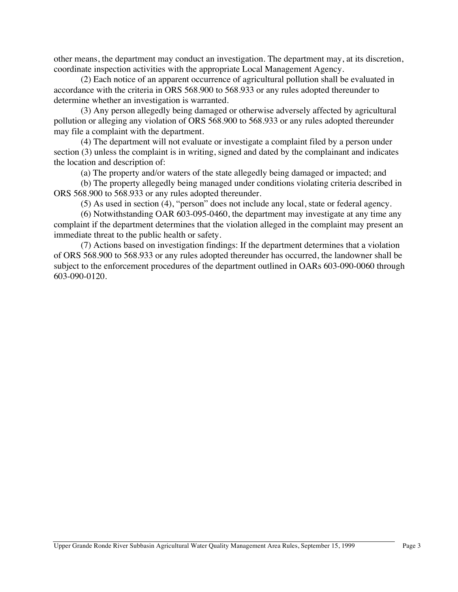other means, the department may conduct an investigation. The department may, at its discretion, coordinate inspection activities with the appropriate Local Management Agency.

(2) Each notice of an apparent occurrence of agricultural pollution shall be evaluated in accordance with the criteria in ORS 568.900 to 568.933 or any rules adopted thereunder to determine whether an investigation is warranted.

(3) Any person allegedly being damaged or otherwise adversely affected by agricultural pollution or alleging any violation of ORS 568.900 to 568.933 or any rules adopted thereunder may file a complaint with the department.

(4) The department will not evaluate or investigate a complaint filed by a person under section (3) unless the complaint is in writing, signed and dated by the complainant and indicates the location and description of:

(a) The property and/or waters of the state allegedly being damaged or impacted; and

(b) The property allegedly being managed under conditions violating criteria described in ORS 568.900 to 568.933 or any rules adopted thereunder.

(5) As used in section (4), "person" does not include any local, state or federal agency.

(6) Notwithstanding OAR 603-095-0460, the department may investigate at any time any complaint if the department determines that the violation alleged in the complaint may present an immediate threat to the public health or safety.

(7) Actions based on investigation findings: If the department determines that a violation of ORS 568.900 to 568.933 or any rules adopted thereunder has occurred, the landowner shall be subject to the enforcement procedures of the department outlined in OARs 603-090-0060 through 603-090-0120.